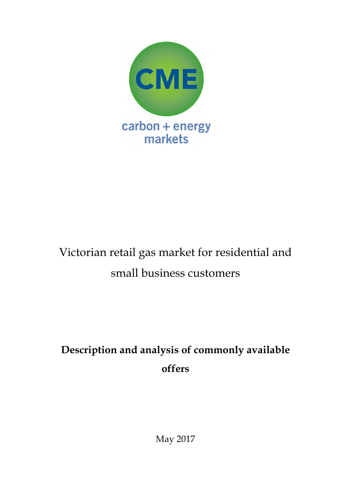

# Victorian retail gas market for residential and small business customers

# **Description and analysis of commonly available offers**

May 2017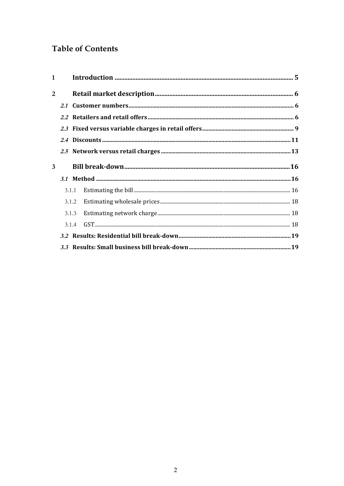# **Table of Contents**

| $\mathbf{1}$ |       |  |
|--------------|-------|--|
| 2            |       |  |
|              |       |  |
|              |       |  |
|              |       |  |
|              |       |  |
|              |       |  |
| 3            |       |  |
|              |       |  |
|              | 3.1.1 |  |
|              |       |  |
|              | 3.1.3 |  |
|              |       |  |
|              |       |  |
|              |       |  |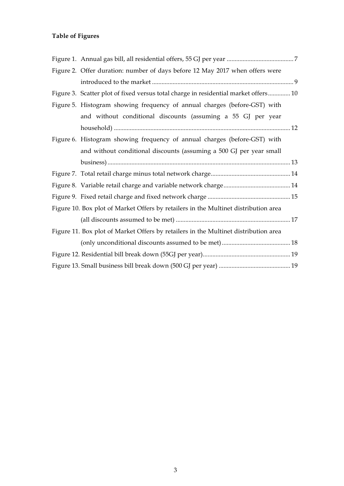# **Table of Figures**

| Figure 2. Offer duration: number of days before 12 May 2017 when offers were        |  |
|-------------------------------------------------------------------------------------|--|
|                                                                                     |  |
| Figure 3. Scatter plot of fixed versus total charge in residential market offers 10 |  |
| Figure 5. Histogram showing frequency of annual charges (before-GST) with           |  |
| and without conditional discounts (assuming a 55 GJ per year                        |  |
|                                                                                     |  |
| Figure 6. Histogram showing frequency of annual charges (before-GST) with           |  |
| and without conditional discounts (assuming a 500 GJ per year small                 |  |
|                                                                                     |  |
|                                                                                     |  |
|                                                                                     |  |
|                                                                                     |  |
| Figure 10. Box plot of Market Offers by retailers in the Multinet distribution area |  |
|                                                                                     |  |
| Figure 11. Box plot of Market Offers by retailers in the Multinet distribution area |  |
|                                                                                     |  |
|                                                                                     |  |
|                                                                                     |  |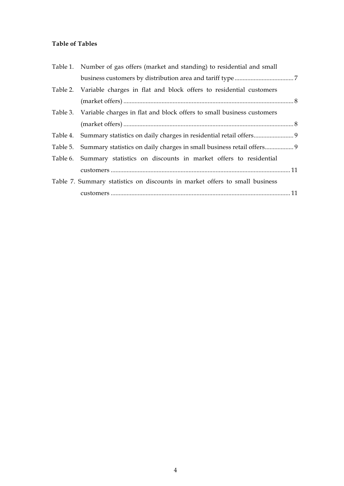## **Table of Tables**

| Table 1. Number of gas offers (market and standing) to residential and small   |  |
|--------------------------------------------------------------------------------|--|
|                                                                                |  |
| Table 2. Variable charges in flat and block offers to residential customers    |  |
|                                                                                |  |
| Table 3. Variable charges in flat and block offers to small business customers |  |
|                                                                                |  |
|                                                                                |  |
| Table 5. Summary statistics on daily charges in small business retail offers 9 |  |
| Table 6. Summary statistics on discounts in market offers to residential       |  |
|                                                                                |  |
| Table 7. Summary statistics on discounts in market offers to small business    |  |
|                                                                                |  |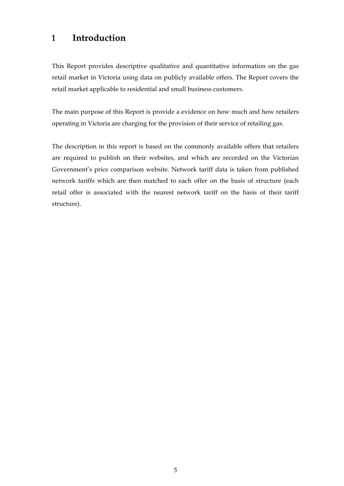# **1 Introduction**

This Report provides descriptive qualitative and quantitative information on the gas retail market in Victoria using data on publicly available offers. The Report covers the retail market applicable to residential and small business customers.

The main purpose of this Report is provide a evidence on how much and how retailers operating in Victoria are charging for the provision of their service of retailing gas.

The description in this report is based on the commonly available offers that retailers are required to publish on their websites, and which are recorded on the Victorian Government's price comparison website. Network tariff data is taken from published network tariffs which are then matched to each offer on the basis of structure (each retail offer is associated with the nearest network tariff on the basis of their tariff structure).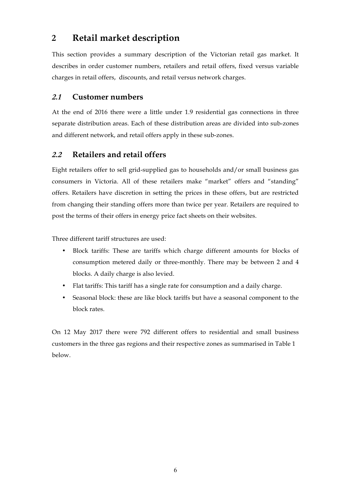# **2 Retail market description**

This section provides a summary description of the Victorian retail gas market. It describes in order customer numbers, retailers and retail offers, fixed versus variable charges in retail offers, discounts, and retail versus network charges.

## **2.1 Customer numbers**

At the end of 2016 there were a little under 1.9 residential gas connections in three separate distribution areas. Each of these distribution areas are divided into sub-zones and different network, and retail offers apply in these sub-zones.

## **2.2 Retailers and retail offers**

Eight retailers offer to sell grid-supplied gas to households and/or small business gas consumers in Victoria. All of these retailers make "market" offers and "standing" offers. Retailers have discretion in setting the prices in these offers, but are restricted from changing their standing offers more than twice per year. Retailers are required to post the terms of their offers in energy price fact sheets on their websites.

Three different tariff structures are used:

- Block tariffs: These are tariffs which charge different amounts for blocks of consumption metered daily or three-monthly. There may be between 2 and 4 blocks. A daily charge is also levied.
- Flat tariffs: This tariff has a single rate for consumption and a daily charge.
- Seasonal block: these are like block tariffs but have a seasonal component to the block rates.

On 12 May 2017 there were 792 different offers to residential and small business customers in the three gas regions and their respective zones as summarised in Table 1 below.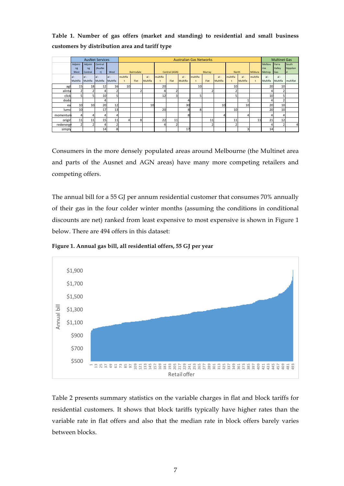**Table 1. Number of gas offers (market and standing) to residential and small business customers by distribution area and tariff type**

|           | <b>AusNet Services</b> |                          |                         |                |               | <b>Australian Gas Networks</b> |                    |          |               |                    |               |               |                    | <b>Multinet Gas</b>    |                    |                        |                         |                        |                        |
|-----------|------------------------|--------------------------|-------------------------|----------------|---------------|--------------------------------|--------------------|----------|---------------|--------------------|---------------|---------------|--------------------|------------------------|--------------------|------------------------|-------------------------|------------------------|------------------------|
|           | Adjoini<br>ng<br>West  | Adjoini<br>ng<br>Central | Central<br>(AusNe<br>t) | West           |               | Bairnsdale                     |                    |          | Central (AGN) |                    |               | <b>Murray</b> |                    | North                  |                    | <b>Mildura</b>         | Melbou<br>rne<br>Metrop | Yarra<br>Valley<br>Gas | South<br>Gippslan<br>r |
|           | $ al -$<br>Multifla    | $al -$<br>Multifla       | $al -$<br>Multifla      | a <br>Multifla | multifla<br>t | Flat                           | $al -$<br>Multifla | multifla | Flat          | $al -$<br>Multifla | multifla<br>t | Flat          | $al -$<br>Multifla | multifla<br>$\ddagger$ | $al -$<br>Multifla | multifla<br>$\ddagger$ | $al -$<br>Multifla      | $al -$<br>Multifla     | multiflat              |
| agl       | 15                     | 18                       | 12                      | 16             | 10            |                                |                    | 20       |               |                    | 10            |               |                    | 10                     |                    |                        | 20                      | 10                     |                        |
| alinta    | $\overline{2}$         |                          |                         |                |               | $\overline{2}$                 |                    |          |               |                    |               |               |                    |                        |                    |                        |                         |                        |                        |
| click     | 5                      | 5                        | 10                      |                |               |                                |                    | 12       |               |                    | 5             |               |                    |                        |                    |                        | 10                      |                        |                        |
| dodo      |                        |                          |                         |                |               |                                |                    |          |               |                    |               |               |                    |                        |                    |                        |                         |                        |                        |
| ea        | 10                     | 10                       | 20                      | 12             |               |                                | 10                 |          |               | 30                 |               |               | 10                 |                        | 10                 |                        | 20                      | 10                     |                        |
| lumd      | 10                     |                          | 17                      | 13             |               |                                |                    | 20       |               | ጾ                  | 8             |               |                    | 10                     |                    |                        | 20                      | 10                     |                        |
| momentun  | 4                      | 4                        | 4                       |                |               |                                |                    |          |               | 8                  |               |               |                    |                        |                    |                        |                         | 4                      |                        |
| origin    | 11                     | 11                       | 15                      |                |               | 8                              |                    | 22       | 11            |                    |               | 11            |                    | 11                     |                    | 11                     | 21                      | 12                     |                        |
| redenerg+ | 2                      | n                        |                         |                |               |                                |                    |          |               |                    |               |               |                    |                        |                    |                        |                         |                        | $\overline{a}$         |
| simply    |                        |                          | 14                      | ጰ              |               |                                |                    |          |               | 17                 |               |               |                    |                        | 3                  |                        | 14                      |                        |                        |

Consumers in the more densely populated areas around Melbourne (the Multinet area and parts of the Ausnet and AGN areas) have many more competing retailers and competing offers.

The annual bill for a 55 GJ per annum residential customer that consumes 70% annually of their gas in the four colder winter months (assuming the conditions in conditional discounts are net) ranked from least expensive to most expensive is shown in Figure 1 below. There are 494 offers in this dataset:

**Figure 1. Annual gas bill, all residential offers, 55 GJ per year** 



Table 2 presents summary statistics on the variable charges in flat and block tariffs for residential customers. It shows that block tariffs typically have higher rates than the variable rate in flat offers and also that the median rate in block offers barely varies between blocks.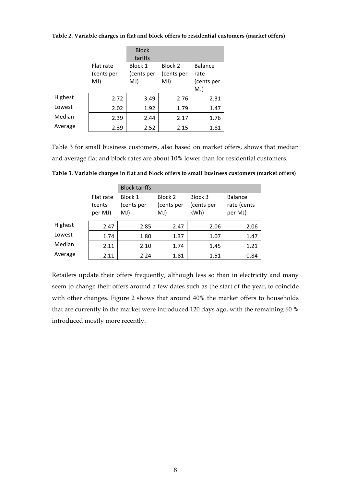|         |                         | <b>Block</b><br>tariffs |                       |                 |  |
|---------|-------------------------|-------------------------|-----------------------|-----------------|--|
|         | Flat rate<br>(cents per | Block 1<br>(cents per   | Block 2<br>(cents per | Balance<br>rate |  |
|         | MJ)                     | MJ)                     | MJ)                   | (cents per      |  |
|         |                         |                         |                       | MJ)             |  |
| Highest | 2.72                    | 3.49                    | 2.76                  | 2.31            |  |
| Lowest  | 2.02                    | 1.92                    | 1.79                  | 1.47            |  |
| Median  | 2.39                    | 2.44                    | 2.17                  | 1.76            |  |
| Average | 2.39                    | 2.52                    | 2.15                  | 1.81            |  |

**Table 2. Variable charges in flat and block offers to residential customers (market offers)**

Table 3 for small business customers, also based on market offers, shows that median and average flat and block rates are about 10% lower than for residential customers.

|         |                                | <b>Block tariffs</b>         |                              |                               |                                          |
|---------|--------------------------------|------------------------------|------------------------------|-------------------------------|------------------------------------------|
|         | Flat rate<br>(cents<br>per MJ) | Block 1<br>(cents per<br>MJ) | Block 2<br>(cents per<br>MJ) | Block 3<br>(cents per<br>kWh) | <b>Balance</b><br>rate (cents<br>per MJ) |
| Highest | 2.47                           | 2.85                         | 2.47                         | 2.06                          | 2.06                                     |
| Lowest  | 1.74                           | 1.80                         | 1.37                         | 1.07                          | 1.47                                     |
| Median  | 2.11                           | 2.10                         | 1.74                         | 1.45                          | 1.21                                     |
| Average | 2.11                           | 2.24                         | 1.81                         | 1.51                          | 0.84                                     |

**Table 3. Variable charges in flat and block offers to small business customers (market offers)**

Retailers update their offers frequently, although less so than in electricity and many seem to change their offers around a few dates such as the start of the year, to coincide with other changes. Figure 2 shows that around 40% the market offers to households that are currently in the market were introduced 120 days ago, with the remaining 60 % introduced mostly more recently.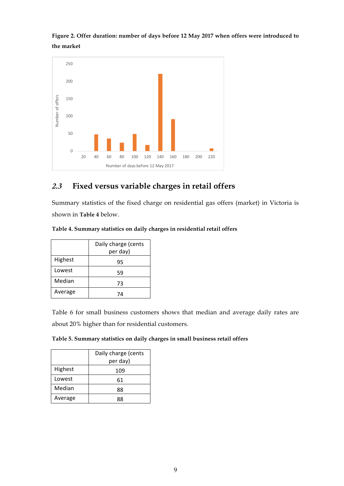**Figure 2. Offer duration: number of days before 12 May 2017 when offers were introduced to the market** 



# **2.3 Fixed versus variable charges in retail offers**

Summary statistics of the fixed charge on residential gas offers (market) in Victoria is shown in **Table 4** below.

|  |  | Table 4. Summary statistics on daily charges in residential retail offers |  |
|--|--|---------------------------------------------------------------------------|--|
|  |  |                                                                           |  |

|         | Daily charge (cents |
|---------|---------------------|
|         | per day)            |
| Highest | 95                  |
| Lowest  | 59                  |
| Median  | 73                  |
| Average |                     |

Table 6 for small business customers shows that median and average daily rates are about 20% higher than for residential customers.

| Table 5. Summary statistics on daily charges in small business retail offers |  |  |  |
|------------------------------------------------------------------------------|--|--|--|
|------------------------------------------------------------------------------|--|--|--|

|         | Daily charge (cents |
|---------|---------------------|
|         | per day)            |
| Highest | 109                 |
| Lowest  | 61                  |
| Median  | 88                  |
| Average | RR                  |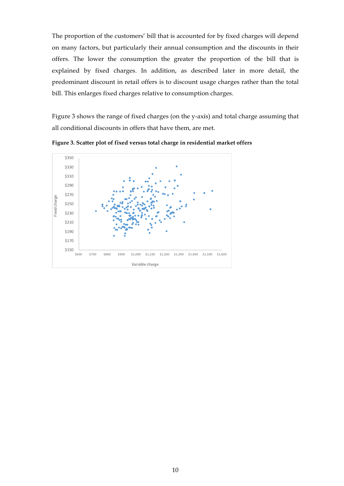The proportion of the customers' bill that is accounted for by fixed charges will depend on many factors, but particularly their annual consumption and the discounts in their offers. The lower the consumption the greater the proportion of the bill that is explained by fixed charges. In addition, as described later in more detail, the predominant discount in retail offers is to discount usage charges rather than the total bill. This enlarges fixed charges relative to consumption charges.

Figure 3 shows the range of fixed charges (on the y-axis) and total charge assuming that all conditional discounts in offers that have them, are met.



**Figure 3. Scatter plot of fixed versus total charge in residential market offers**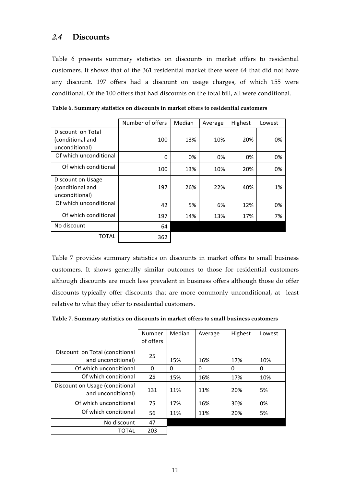## **2.4 Discounts**

Table 6 presents summary statistics on discounts in market offers to residential customers. It shows that of the 361 residential market there were 64 that did not have any discount. 197 offers had a discount on usage charges, of which 155 were conditional. Of the 100 offers that had discounts on the total bill, all were conditional.

|                                                         | Number of offers | Median | Average | Highest | Lowest |
|---------------------------------------------------------|------------------|--------|---------|---------|--------|
| Discount on Total<br>(conditional and<br>unconditional) | 100              | 13%    | 10%     | 20%     | 0%     |
| Of which unconditional                                  | 0                | 0%     | 0%      | 0%      | 0%     |
| Of which conditional                                    | 100              | 13%    | 10%     | 20%     | 0%     |
| Discount on Usage<br>(conditional and<br>unconditional) | 197              | 26%    | 22%     | 40%     | 1%     |
| Of which unconditional                                  | 42               | 5%     | 6%      | 12%     | 0%     |
| Of which conditional                                    | 197              | 14%    | 13%     | 17%     | 7%     |
| No discount                                             | 64               |        |         |         |        |
| TOTAL                                                   | 362              |        |         |         |        |

**Table 6. Summary statistics on discounts in market offers to residential customers** 

Table 7 provides summary statistics on discounts in market offers to small business customers. It shows generally similar outcomes to those for residential customers although discounts are much less prevalent in business offers although those do offer discounts typically offer discounts that are more commonly unconditional, at least relative to what they offer to residential customers.

**Table 7. Summary statistics on discounts in market offers to small business customers** 

|                                                      | Number<br>of offers | Median   | Average | Highest | Lowest |
|------------------------------------------------------|---------------------|----------|---------|---------|--------|
| Discount on Total (conditional                       | 25                  |          |         |         |        |
| and unconditional)                                   |                     | 15%      | 16%     | 17%     | 10%    |
| Of which unconditional                               | 0                   | $\Omega$ | 0       | 0       | 0      |
| Of which conditional                                 | 25                  | 15%      | 16%     | 17%     | 10%    |
| Discount on Usage (conditional<br>and unconditional) | 131                 | 11%      | 11%     | 20%     | 5%     |
| Of which unconditional                               | 75                  | 17%      | 16%     | 30%     | 0%     |
| Of which conditional                                 | 56                  | 11%      | 11%     | 20%     | 5%     |
| No discount                                          | 47                  |          |         |         |        |
| TOTAL                                                | 203                 |          |         |         |        |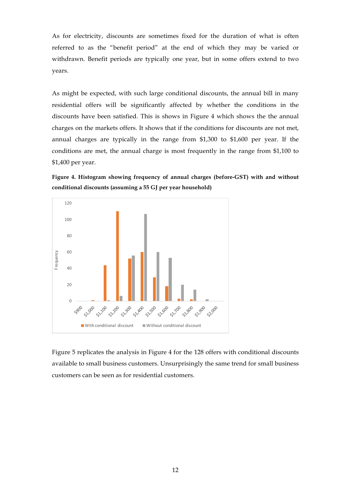As for electricity, discounts are sometimes fixed for the duration of what is often referred to as the "benefit period" at the end of which they may be varied or withdrawn. Benefit periods are typically one year, but in some offers extend to two years.

As might be expected, with such large conditional discounts, the annual bill in many residential offers will be significantly affected by whether the conditions in the discounts have been satisfied. This is shows in Figure 4 which shows the the annual charges on the markets offers. It shows that if the conditions for discounts are not met, annual charges are typically in the range from \$1,300 to \$1,600 per year. If the conditions are met, the annual charge is most frequently in the range from \$1,100 to \$1,400 per year.





Figure 5 replicates the analysis in Figure 4 for the 128 offers with conditional discounts available to small business customers. Unsurprisingly the same trend for small business customers can be seen as for residential customers.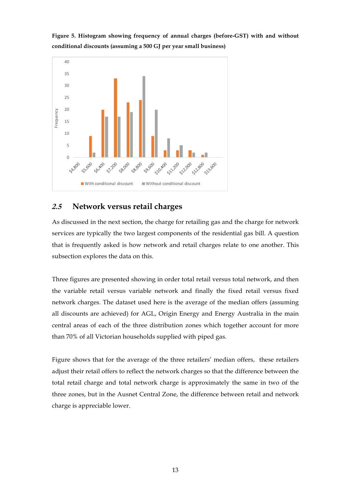

**Figure 5. Histogram showing frequency of annual charges (before-GST) with and without conditional discounts (assuming a 500 GJ per year small business)**

## **2.5 Network versus retail charges**

As discussed in the next section, the charge for retailing gas and the charge for network services are typically the two largest components of the residential gas bill. A question that is frequently asked is how network and retail charges relate to one another. This subsection explores the data on this.

Three figures are presented showing in order total retail versus total network, and then the variable retail versus variable network and finally the fixed retail versus fixed network charges. The dataset used here is the average of the median offers (assuming all discounts are achieved) for AGL, Origin Energy and Energy Australia in the main central areas of each of the three distribution zones which together account for more than 70% of all Victorian households supplied with piped gas.

Figure shows that for the average of the three retailers' median offers, these retailers adjust their retail offers to reflect the network charges so that the difference between the total retail charge and total network charge is approximately the same in two of the three zones, but in the Ausnet Central Zone, the difference between retail and network charge is appreciable lower.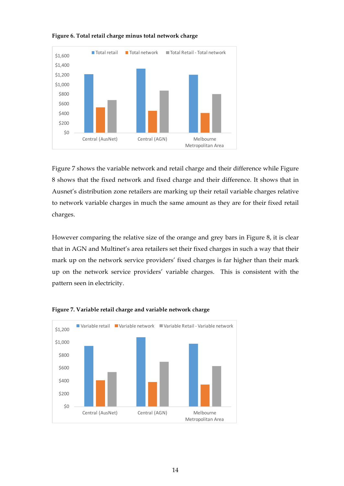

#### **Figure 6. Total retail charge minus total network charge**

Figure 7 shows the variable network and retail charge and their difference while Figure 8 shows that the fixed network and fixed charge and their difference. It shows that in Ausnet's distribution zone retailers are marking up their retail variable charges relative to network variable charges in much the same amount as they are for their fixed retail charges.

However comparing the relative size of the orange and grey bars in Figure 8, it is clear that in AGN and Multinet's area retailers set their fixed charges in such a way that their mark up on the network service providers' fixed charges is far higher than their mark up on the network service providers' variable charges. This is consistent with the pattern seen in electricity.



#### **Figure 7. Variable retail charge and variable network charge**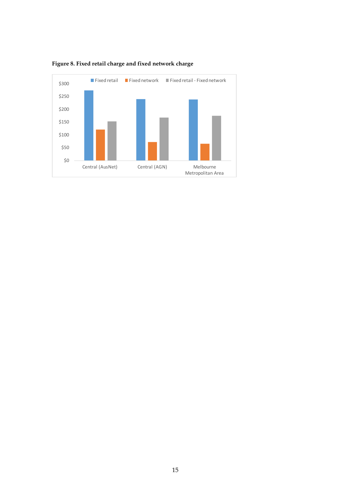

## **Figure 8. Fixed retail charge and fixed network charge**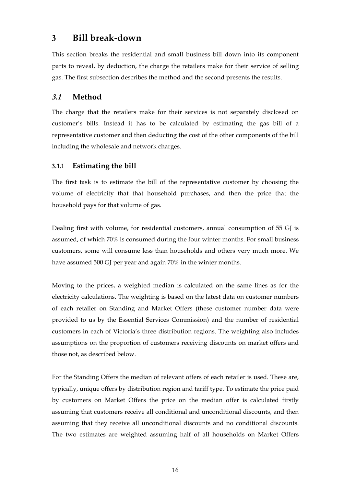# **3 Bill break-down**

This section breaks the residential and small business bill down into its component parts to reveal, by deduction, the charge the retailers make for their service of selling gas. The first subsection describes the method and the second presents the results.

## **3.1 Method**

The charge that the retailers make for their services is not separately disclosed on customer's bills. Instead it has to be calculated by estimating the gas bill of a representative customer and then deducting the cost of the other components of the bill including the wholesale and network charges.

## **3.1.1 Estimating the bill**

The first task is to estimate the bill of the representative customer by choosing the volume of electricity that that household purchases, and then the price that the household pays for that volume of gas.

Dealing first with volume, for residential customers, annual consumption of 55 GJ is assumed, of which 70% is consumed during the four winter months. For small business customers, some will consume less than households and others very much more. We have assumed 500 GJ per year and again 70% in the winter months.

Moving to the prices, a weighted median is calculated on the same lines as for the electricity calculations. The weighting is based on the latest data on customer numbers of each retailer on Standing and Market Offers (these customer number data were provided to us by the Essential Services Commission) and the number of residential customers in each of Victoria's three distribution regions. The weighting also includes assumptions on the proportion of customers receiving discounts on market offers and those not, as described below.

For the Standing Offers the median of relevant offers of each retailer is used. These are, typically, unique offers by distribution region and tariff type. To estimate the price paid by customers on Market Offers the price on the median offer is calculated firstly assuming that customers receive all conditional and unconditional discounts, and then assuming that they receive all unconditional discounts and no conditional discounts. The two estimates are weighted assuming half of all households on Market Offers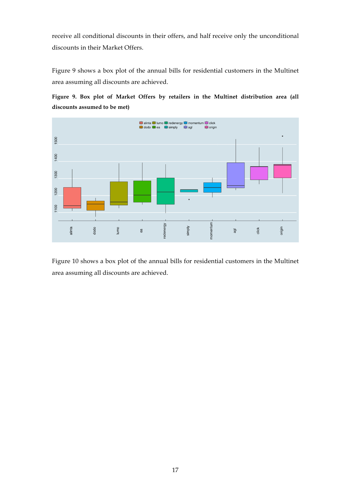receive all conditional discounts in their offers, and half receive only the unconditional discounts in their Market Offers.

Figure 9 shows a box plot of the annual bills for residential customers in the Multinet area assuming all discounts are achieved.





Figure 10 shows a box plot of the annual bills for residential customers in the Multinet area assuming all discounts are achieved.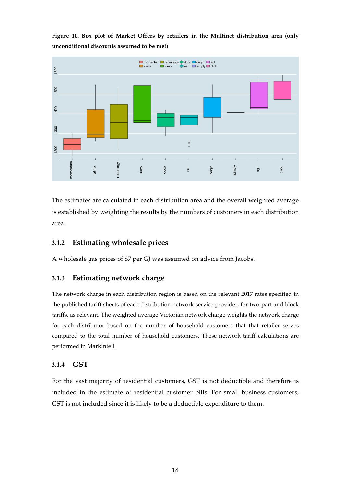**Figure 10. Box plot of Market Offers by retailers in the Multinet distribution area (only unconditional discounts assumed to be met)** 



The estimates are calculated in each distribution area and the overall weighted average is established by weighting the results by the numbers of customers in each distribution area.

### **3.1.2 Estimating wholesale prices**

A wholesale gas prices of \$7 per GJ was assumed on advice from Jacobs.

#### **3.1.3 Estimating network charge**

The network charge in each distribution region is based on the relevant 2017 rates specified in the published tariff sheets of each distribution network service provider, for two-part and block tariffs, as relevant. The weighted average Victorian network charge weights the network charge for each distributor based on the number of household customers that that retailer serves compared to the total number of household customers. These network tariff calculations are performed in MarkIntell.

#### **3.1.4 GST**

For the vast majority of residential customers, GST is not deductible and therefore is included in the estimate of residential customer bills. For small business customers, GST is not included since it is likely to be a deductible expenditure to them.